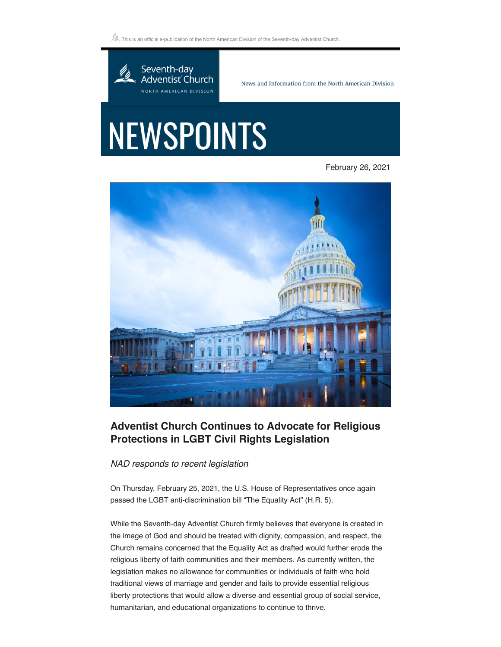$\mathbb{Z}_\simeq$  This is an official e-publication of the North American Division of the Seventh-day Adventist Church.



News and Information from the North American Division

## **NEWSPOINTS**

February 26, 2021



## **Adventist Church Continues to Advocate for Religious Protections in LGBT Civil Rights Legislation**

*NAD responds to recent legislation*

On Thursday, February 25, 2021, the U.S. House of Representatives once again passed the LGBT anti-discrimination bill "The Equality Act" (H.R. 5).

While the Seventh-day Adventist Church firmly believes that everyone is created in the image of God and should be treated with dignity, compassion, and respect, the Church remains concerned that the Equality Act as drafted would further erode the religious liberty of faith communities and their members. As currently written, the legislation makes no allowance for communities or individuals of faith who hold traditional views of marriage and gender and fails to provide essential religious liberty protections that would allow a diverse and essential group of social service, humanitarian, and educational organizations to continue to thrive.